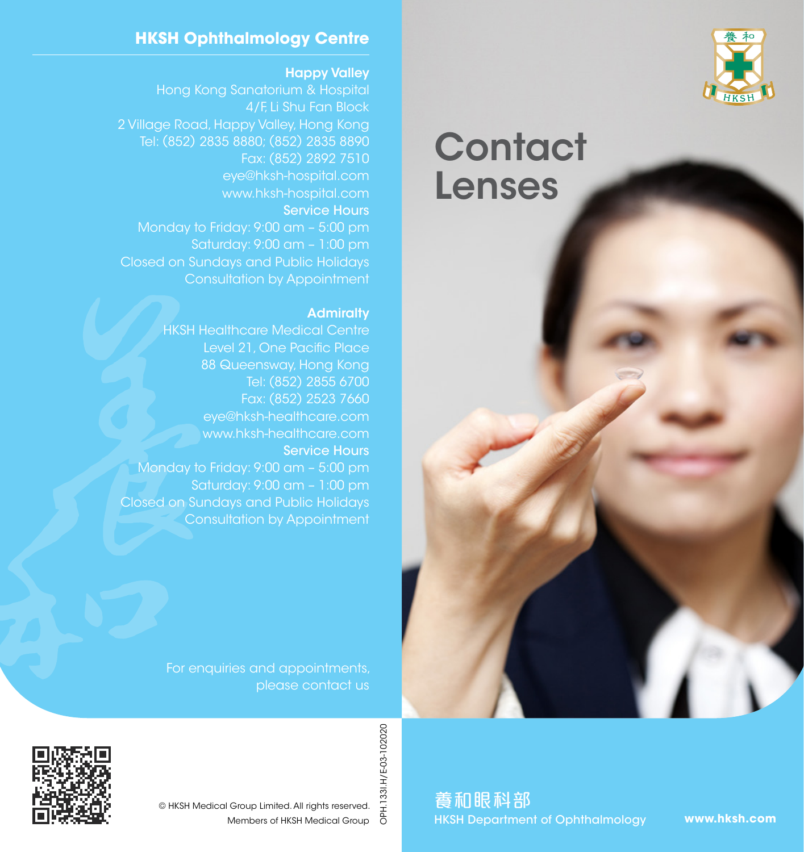

# **Contact** Lenses

## **HKSH Ophthalmology Centre**

Happy Valley

4/F, Li Shu Fan Block 2 Village Road, Happy Valley, Hong Kong Tel: (852) 2835 8880; (852) 2835 8890 Fax: (852) 2892 7510 www.hksh-hospital.com Service Hours Monday to Friday: 9:00 am – 5:00 pm Saturday: 9:00 am – 1:00 pm Closed on Sundays and Public Holidays Consultation by Appointment

#### **Admiralty**

HKSH Healthcare Medical Centre Level 21, One Pacific Place 88 Queensway, Hong Kong Tel: (852) 2855 6700 Fax: (852) 2523 7660 eye@hksh-healthcare.com www.hksh-healthcare.com Service Hours Monday to Friday: 9:00 am – 5:00 pm Saturday: 9:00 am – 1:00 pm Closed on Sundays and Public Holidays Consultation by Appointment

For enquiries and appointments,



OPH.133I.H/E-03-102020 OPH.133I.H/E-03-102020 © HKSH Medical Group Limited. All rights reserved. Members of HKSH Medical Group

養和眼科部 HKSH Department of Ophthalmology

**www.hksh.com**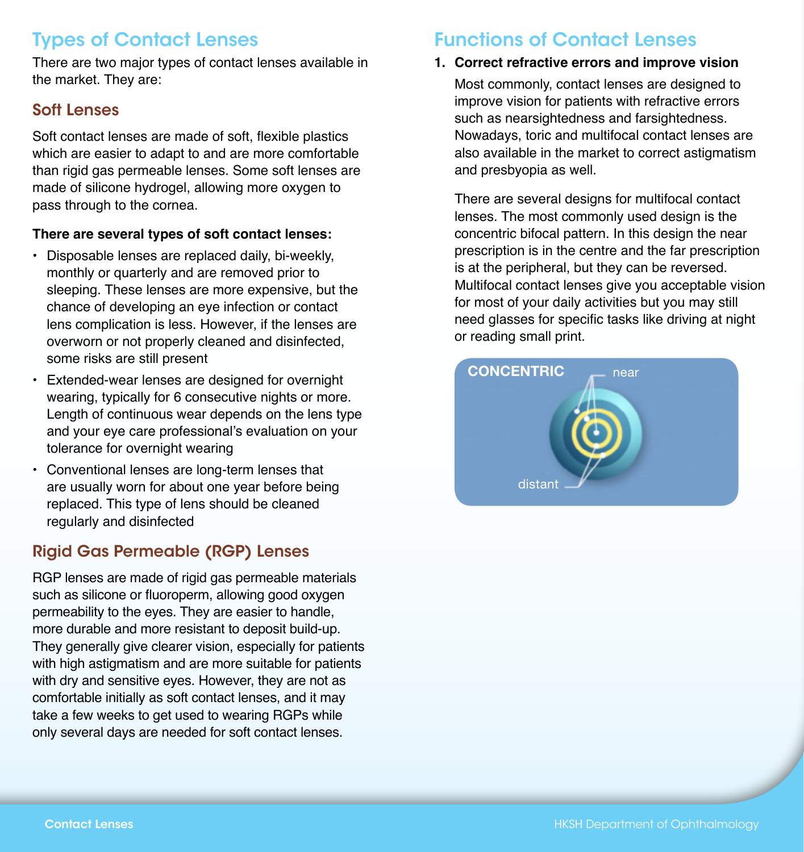# Types of Contact Lenses

There are two major types of contact lenses available in the market. They are:

## Soft Lenses

Soft contact lenses are made of soft, flexible plastics which are easier to adapt to and are more comfortable than rigid gas permeable lenses. Some soft lenses are made of silicone hydrogel, allowing more oxygen to pass through to the cornea.

#### **There are several types of soft contact lenses:**

- Disposable lenses are replaced daily, bi-weekly, monthly or quarterly and are removed prior to sleeping. These lenses are more expensive, but the chance of developing an eye infection or contact lens complication is less. However, if the lenses are overworn or not properly cleaned and disinfected, some risks are still present
- Extended-wear lenses are designed for overnight wearing, typically for 6 consecutive nights or more. Length of continuous wear depends on the lens type and your eye care professional's evaluation on your tolerance for overnight wearing
- Conventional lenses are long-term lenses that are usually worn for about one year before being replaced. This type of lens should be cleaned regularly and disinfected

## Rigid Gas Permeable (RGP) Lenses

RGP lenses are made of rigid gas permeable materials such as silicone or fluoroperm, allowing good oxygen permeability to the eyes. They are easier to handle, more durable and more resistant to deposit build-up. They generally give clearer vision, especially for patients with high astigmatism and are more suitable for patients with dry and sensitive eyes. However, they are not as comfortable initially as soft contact lenses, and it may take a few weeks to get used to wearing RGPs while only several days are needed for soft contact lenses.

# Functions of Contact Lenses

## **1. Correct refractive errors and improve vision**

Most commonly, contact lenses are designed to improve vision for patients with refractive errors such as nearsightedness and farsightedness. Nowadays, toric and multifocal contact lenses are also available in the market to correct astigmatism and presbyopia as well.

There are several designs for multifocal contact lenses. The most commonly used design is the concentric bifocal pattern. In this design the near prescription is in the centre and the far prescription is at the peripheral, but they can be reversed. Multifocal contact lenses give you acceptable vision for most of your daily activities but you may still need glasses for specific tasks like driving at night or reading small print.

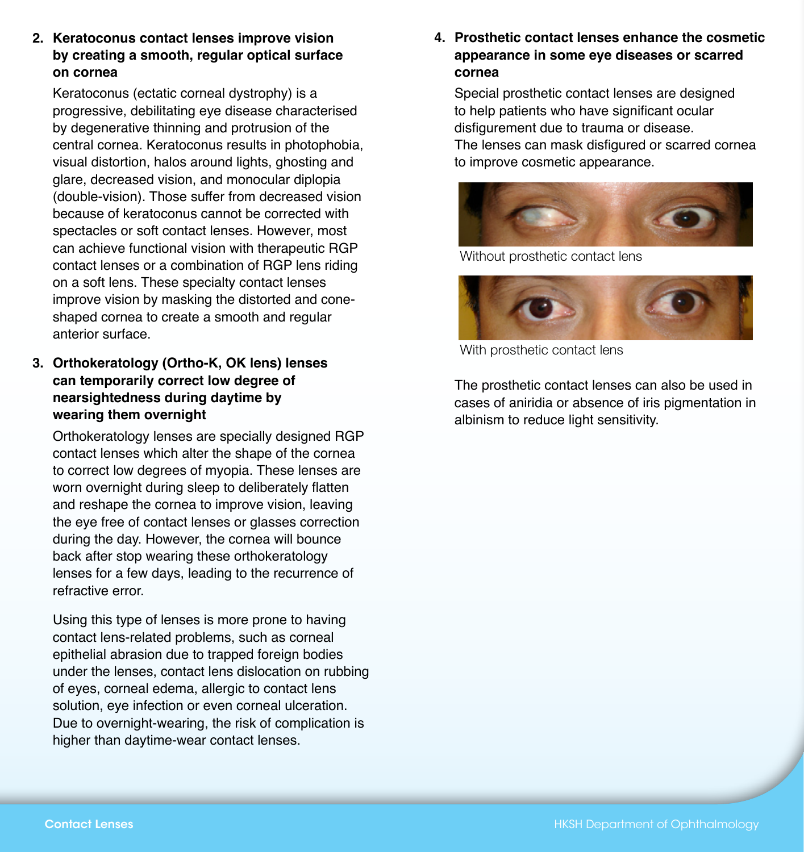**2. Keratoconus contact lenses improve vision by creating a smooth, regular optical surface on cornea**

Keratoconus (ectatic corneal dystrophy) is a progressive, debilitating eye disease characterised by degenerative thinning and protrusion of the central cornea. Keratoconus results in photophobia, visual distortion, halos around lights, ghosting and glare, decreased vision, and monocular diplopia (double-vision). Those suffer from decreased vision because of keratoconus cannot be corrected with spectacles or soft contact lenses. However, most can achieve functional vision with therapeutic RGP contact lenses or a combination of RGP lens riding on a soft lens. These specialty contact lenses improve vision by masking the distorted and coneshaped cornea to create a smooth and regular anterior surface.

**3. Orthokeratology (Ortho-K, OK lens) lenses can temporarily correct low degree of nearsightedness during daytime by wearing them overnight**

Orthokeratology lenses are specially designed RGP contact lenses which alter the shape of the cornea to correct low degrees of myopia. These lenses are worn overnight during sleep to deliberately flatten and reshape the cornea to improve vision, leaving the eye free of contact lenses or glasses correction during the day. However, the cornea will bounce back after stop wearing these orthokeratology lenses for a few days, leading to the recurrence of refractive error.

Using this type of lenses is more prone to having contact lens-related problems, such as corneal epithelial abrasion due to trapped foreign bodies under the lenses, contact lens dislocation on rubbing of eyes, corneal edema, allergic to contact lens solution, eye infection or even corneal ulceration. Due to overnight-wearing, the risk of complication is higher than daytime-wear contact lenses.

**4. Prosthetic contact lenses enhance the cosmetic appearance in some eye diseases or scarred cornea**

Special prosthetic contact lenses are designed to help patients who have significant ocular disfigurement due to trauma or disease. The lenses can mask disfigured or scarred cornea to improve cosmetic appearance.



Without prosthetic contact lens



With prosthetic contact lens

The prosthetic contact lenses can also be used in cases of aniridia or absence of iris pigmentation in albinism to reduce light sensitivity.